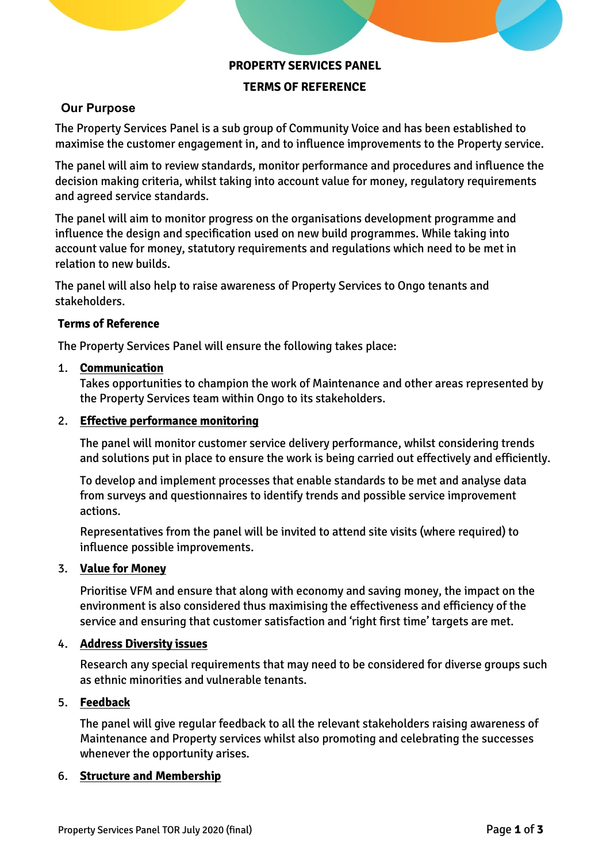## **PROPERTY SERVICES PANEL**

## **TERMS OF REFERENCE**

# **Our Purpose**

The Property Services Panel is a sub group of Community Voice and has been established to maximise the customer engagement in, and to influence improvements to the Property service.

The panel will aim to review standards, monitor performance and procedures and influence the decision making criteria, whilst taking into account value for money, regulatory requirements and agreed service standards.

The panel will aim to monitor progress on the organisations development programme and influence the design and specification used on new build programmes. While taking into account value for money, statutory requirements and regulations which need to be met in relation to new builds.

The panel will also help to raise awareness of Property Services to Ongo tenants and stakeholders.

#### **Terms of Reference**

The Property Services Panel will ensure the following takes place:

#### 1. **Communication**

Takes opportunities to champion the work of Maintenance and other areas represented by the Property Services team within Ongo to its stakeholders.

#### 2. **Effective performance monitoring**

The panel will monitor customer service delivery performance, whilst considering trends and solutions put in place to ensure the work is being carried out effectively and efficiently.

To develop and implement processes that enable standards to be met and analyse data from surveys and questionnaires to identify trends and possible service improvement actions.

Representatives from the panel will be invited to attend site visits (where required) to influence possible improvements.

#### 3. **Value for Money**

Prioritise VFM and ensure that along with economy and saving money, the impact on the environment is also considered thus maximising the effectiveness and efficiency of the service and ensuring that customer satisfaction and 'right first time' targets are met.

#### 4. **Address Diversity issues**

Research any special requirements that may need to be considered for diverse groups such as ethnic minorities and vulnerable tenants.

## 5. **Feedback**

The panel will give regular feedback to all the relevant stakeholders raising awareness of Maintenance and Property services whilst also promoting and celebrating the successes whenever the opportunity arises.

## 6. **Structure and Membership**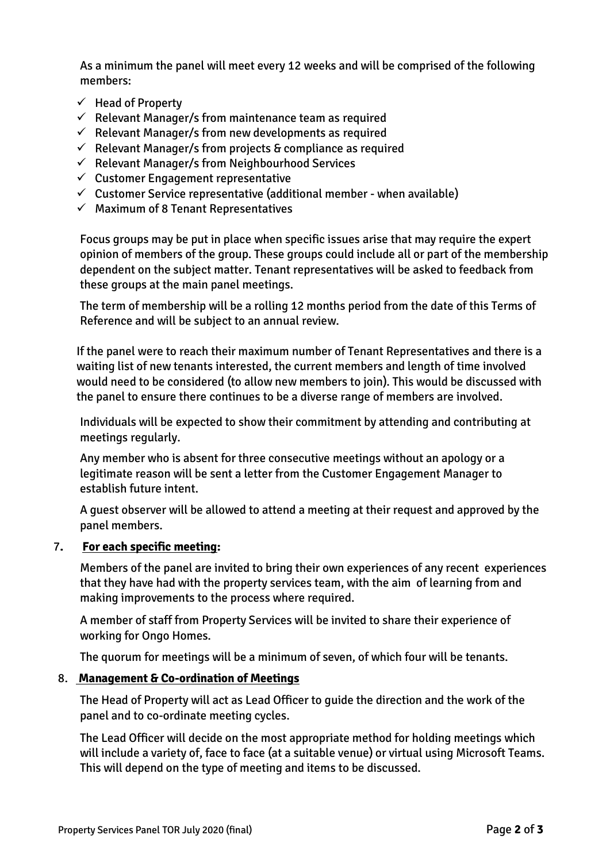As a minimum the panel will meet every 12 weeks and will be comprised of the following members:

- ✓ Head of Property
- $\checkmark$  Relevant Manager/s from maintenance team as required
- $\checkmark$  Relevant Manager/s from new developments as required
- $\checkmark$  Relevant Manager/s from projects & compliance as required
- ✓ Relevant Manager/s from Neighbourhood Services
- $\checkmark$  Customer Engagement representative
- $\checkmark$  Customer Service representative (additional member when available)
- $\checkmark$  Maximum of 8 Tenant Representatives

Focus groups may be put in place when specific issues arise that may require the expert opinion of members of the group. These groups could include all or part of the membership dependent on the subject matter. Tenant representatives will be asked to feedback from these groups at the main panel meetings.

The term of membership will be a rolling 12 months period from the date of this Terms of Reference and will be subject to an annual review.

If the panel were to reach their maximum number of Tenant Representatives and there is a waiting list of new tenants interested, the current members and length of time involved would need to be considered (to allow new members to join). This would be discussed with the panel to ensure there continues to be a diverse range of members are involved.

Individuals will be expected to show their commitment by attending and contributing at meetings regularly.

Any member who is absent for three consecutive meetings without an apology or a legitimate reason will be sent a letter from the Customer Engagement Manager to establish future intent.

A guest observer will be allowed to attend a meeting at their request and approved by the panel members.

# 7**. For each specific meeting:**

Members of the panel are invited to bring their own experiences of any recent experiences that they have had with the property services team, with the aim of learning from and making improvements to the process where required.

A member of staff from Property Services will be invited to share their experience of working for Ongo Homes.

The quorum for meetings will be a minimum of seven, of which four will be tenants.

# 8. **Management & Co-ordination of Meetings**

The Head of Property will act as Lead Officer to guide the direction and the work of the panel and to co-ordinate meeting cycles.

The Lead Officer will decide on the most appropriate method for holding meetings which will include a variety of, face to face (at a suitable venue) or virtual using Microsoft Teams. This will depend on the type of meeting and items to be discussed.